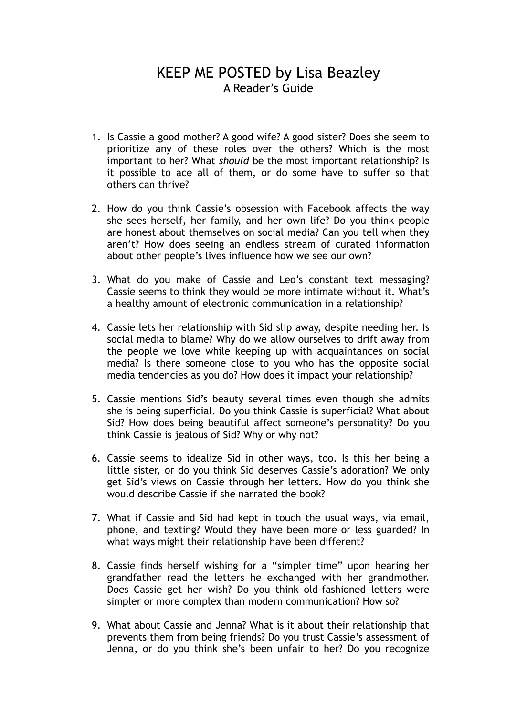## KEEP ME POSTED by Lisa Beazley A Reader's Guide

- 1. Is Cassie a good mother? A good wife? A good sister? Does she seem to prioritize any of these roles over the others? Which is the most important to her? What *should* be the most important relationship? Is it possible to ace all of them, or do some have to suffer so that others can thrive?
- 2. How do you think Cassie's obsession with Facebook affects the way she sees herself, her family, and her own life? Do you think people are honest about themselves on social media? Can you tell when they aren't? How does seeing an endless stream of curated information about other people's lives influence how we see our own?
- 3. What do you make of Cassie and Leo's constant text messaging? Cassie seems to think they would be more intimate without it. What's a healthy amount of electronic communication in a relationship?
- 4. Cassie lets her relationship with Sid slip away, despite needing her. Is social media to blame? Why do we allow ourselves to drift away from the people we love while keeping up with acquaintances on social media? Is there someone close to you who has the opposite social media tendencies as you do? How does it impact your relationship?
- 5. Cassie mentions Sid's beauty several times even though she admits she is being superficial. Do you think Cassie is superficial? What about Sid? How does being beautiful affect someone's personality? Do you think Cassie is jealous of Sid? Why or why not?
- 6. Cassie seems to idealize Sid in other ways, too. Is this her being a little sister, or do you think Sid deserves Cassie's adoration? We only get Sid's views on Cassie through her letters. How do you think she would describe Cassie if she narrated the book?
- 7. What if Cassie and Sid had kept in touch the usual ways, via email, phone, and texting? Would they have been more or less guarded? In what ways might their relationship have been different?
- 8. Cassie finds herself wishing for a "simpler time" upon hearing her grandfather read the letters he exchanged with her grandmother. Does Cassie get her wish? Do you think old-fashioned letters were simpler or more complex than modern communication? How so?
- 9. What about Cassie and Jenna? What is it about their relationship that prevents them from being friends? Do you trust Cassie's assessment of Jenna, or do you think she's been unfair to her? Do you recognize